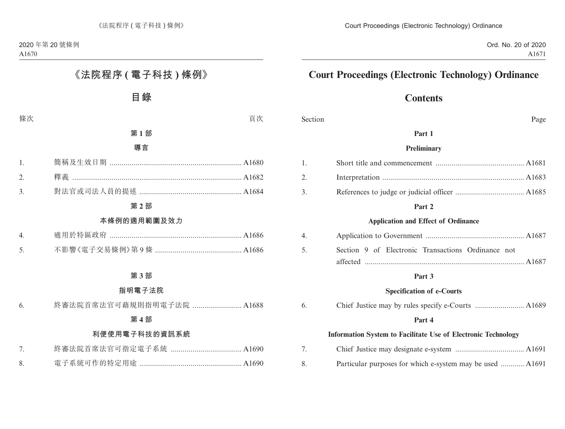# **Contents**

| Section | Page                                                                 |
|---------|----------------------------------------------------------------------|
|         | Part 1                                                               |
|         | Preliminary                                                          |
| 1.      |                                                                      |
| 2.      |                                                                      |
| 3.      |                                                                      |
|         | Part 2                                                               |
|         | <b>Application and Effect of Ordinance</b>                           |
| 4.      |                                                                      |
| 5.      | Section 9 of Electronic Transactions Ordinance not                   |
|         |                                                                      |
|         | Part 3                                                               |
|         | <b>Specification of e-Courts</b>                                     |
| 6.      |                                                                      |
|         | Part 4                                                               |
|         | <b>Information System to Facilitate Use of Electronic Technology</b> |
| 7.      |                                                                      |
| 8.      | Particular purposes for which e-system may be used  A1691            |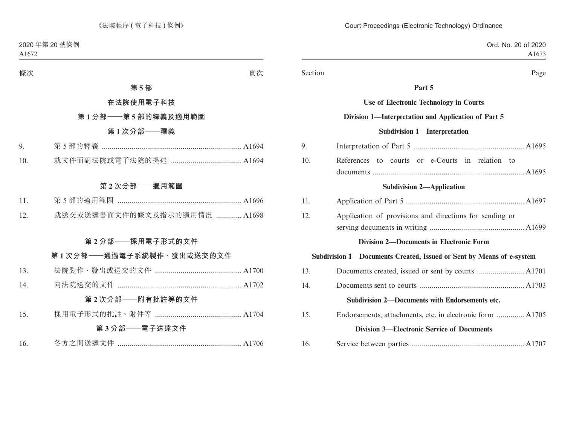#### Section Page

### **Part 5**

### **Use of Electronic Technology in Courts**

#### **Division 1—Interpretation and Application of Part 5**

#### **Subdivision 1—Interpretation**

| 9.                                                    |                                                                      |  |
|-------------------------------------------------------|----------------------------------------------------------------------|--|
| 10.                                                   | References to courts or e-Courts in relation to                      |  |
|                                                       |                                                                      |  |
|                                                       | <b>Subdivision 2—Application</b>                                     |  |
| 11.                                                   |                                                                      |  |
| 12.                                                   | Application of provisions and directions for sending or              |  |
|                                                       |                                                                      |  |
| <b>Division 2—Documents in Electronic Form</b>        |                                                                      |  |
|                                                       | Subdivision 1—Documents Created, Issued or Sent by Means of e-system |  |
| 13.                                                   |                                                                      |  |
| 14.                                                   |                                                                      |  |
| <b>Subdivision 2—Documents with Endorsements etc.</b> |                                                                      |  |
| 15.                                                   | Endorsements, attachments, etc. in electronic form  A1705            |  |
|                                                       | <b>Division 3—Electronic Service of Documents</b>                    |  |
| 16.                                                   |                                                                      |  |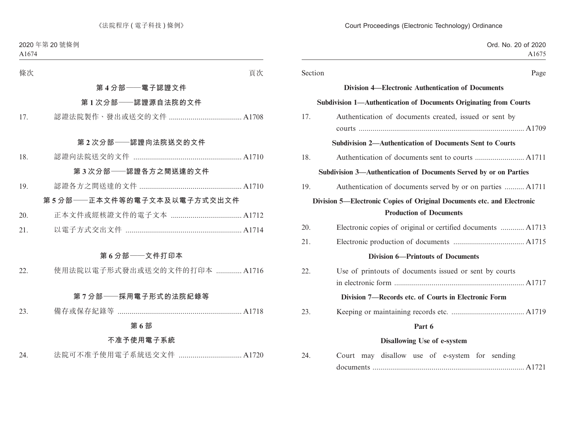| Section | Page                                                                                                     |
|---------|----------------------------------------------------------------------------------------------------------|
|         | <b>Division 4—Electronic Authentication of Documents</b>                                                 |
|         | Subdivision 1-Authentication of Documents Originating from Courts                                        |
| 17.     | Authentication of documents created, issued or sent by                                                   |
|         |                                                                                                          |
|         | <b>Subdivision 2-Authentication of Documents Sent to Courts</b>                                          |
| 18.     |                                                                                                          |
|         | Subdivision 3-Authentication of Documents Served by or on Parties                                        |
| 19.     | Authentication of documents served by or on parties  A1711                                               |
|         | Division 5—Electronic Copies of Original Documents etc. and Electronic<br><b>Production of Documents</b> |
| 20.     | Electronic copies of original or certified documents  A1713                                              |
| 21.     |                                                                                                          |
|         | <b>Division 6-Printouts of Documents</b>                                                                 |
| 22.     | Use of printouts of documents issued or sent by courts                                                   |
|         |                                                                                                          |
|         | Division 7-Records etc. of Courts in Electronic Form                                                     |
| 23.     |                                                                                                          |
|         | Part 6                                                                                                   |
|         | Disallowing Use of e-system                                                                              |
| 24.     | Court may disallow use of e-system for sending                                                           |
|         |                                                                                                          |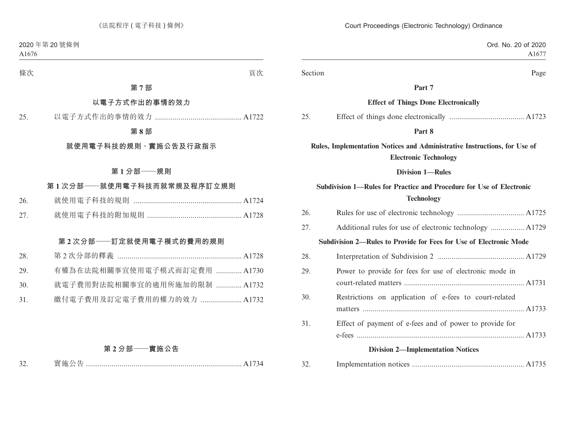| Ord. No. 20 of 2020<br>A1677                                                                              |         |
|-----------------------------------------------------------------------------------------------------------|---------|
|                                                                                                           |         |
| Page                                                                                                      | Section |
| Part 7                                                                                                    |         |
| <b>Effect of Things Done Electronically</b>                                                               |         |
|                                                                                                           | 25.     |
| Part 8                                                                                                    |         |
| Rules, Implementation Notices and Administrative Instructions, for Use of<br><b>Electronic Technology</b> |         |
| <b>Division 1-Rules</b>                                                                                   |         |
| Subdivision 1—Rules for Practice and Procedure for Use of Electronic<br><b>Technology</b>                 |         |
|                                                                                                           | 26.     |
| Additional rules for use of electronic technology  A1729                                                  | 27.     |
| Subdivision 2—Rules to Provide for Fees for Use of Electronic Mode                                        |         |
|                                                                                                           | 28.     |
| Power to provide for fees for use of electronic mode in                                                   | 29.     |
| Restrictions on application of e-fees to court-related                                                    | 30.     |
| Effect of payment of e-fees and of power to provide for                                                   | 31.     |
| <b>Division 2-Implementation Notices</b>                                                                  |         |
|                                                                                                           | 32.     |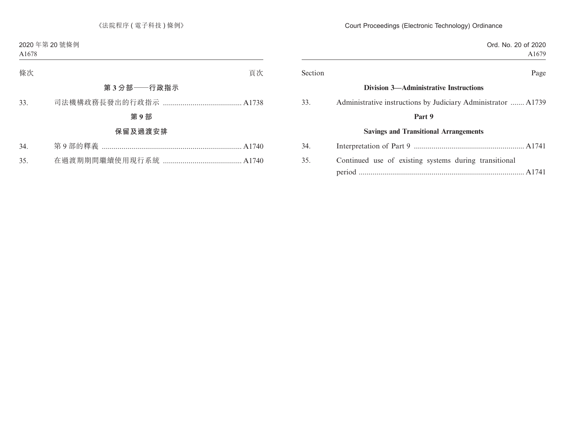# Ord. No. 20 of 2020 A1679 Section Page **Division 3—Administrative Instructions** 33. Administrative instructions by Judiciary Administrator ....... A1739 **Part 9 Savings and Transitional Arrangements** 34. Interpretation of Part 9 ........................................................ A1741 35. Continued use of existing systems during transitional period .................................................................................... A1741

Court Proceedings (Electronic Technology) Ordinance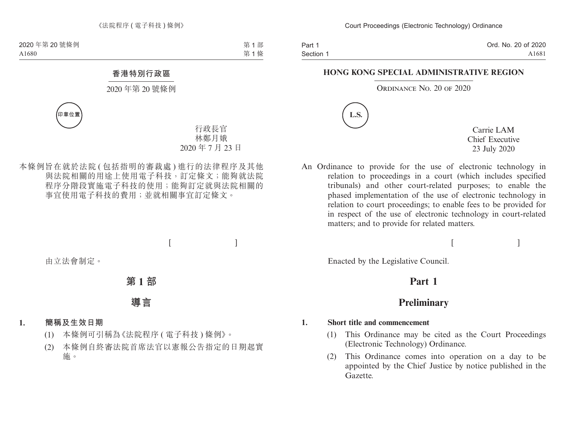Part 1 Section 1 Ord. No. 20 of 2020 A1681

#### **HONG KONG SPECIAL ADMINISTRATIVE REGION**

#### ORDINANCE NO. 20 OF 2020



Carrie LAM Chief Executive 23 July 2020

 $[$   $]$ 

An Ordinance to provide for the use of electronic technology in relation to proceedings in a court (which includes specified tribunals) and other court-related purposes; to enable the phased implementation of the use of electronic technology in relation to court proceedings; to enable fees to be provided for in respect of the use of electronic technology in court-related matters; and to provide for related matters.

Enacted by the Legislative Council.

## **Part 1**

## **Preliminary**

#### **1. Short title and commencement**

- (1) This Ordinance may be cited as the Court Proceedings (Electronic Technology) Ordinance.
- (2) This Ordinance comes into operation on a day to be appointed by the Chief Justice by notice published in the Gazette.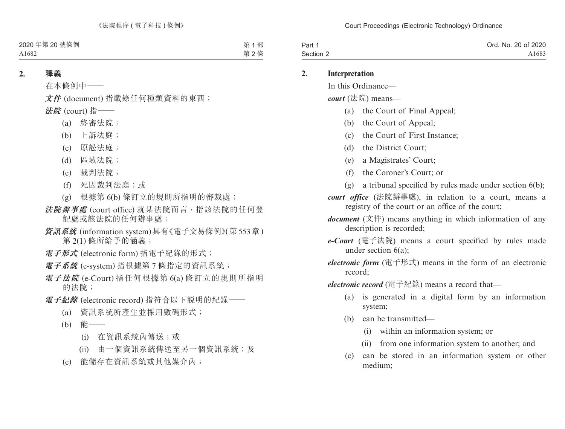| Part 1    | Ord. No. 20 of 2020 |
|-----------|---------------------|
| Section 2 | A1683               |

#### **2. Interpretation**

In this Ordinance—

*court* (法院) means—

- (a) the Court of Final Appeal;
- (b) the Court of Appeal;
- (c) the Court of First Instance;
- (d) the District Court;
- (e) a Magistrates' Court;
- (f) the Coroner's Court; or
- (g) a tribunal specified by rules made under section 6(b);
- *court office* (法院辦事處), in relation to a court, means a registry of the court or an office of the court;
- *document* (文件) means anything in which information of any description is recorded;
- *e-Court* (電子法院) means a court specified by rules made under section 6(a);
- *electronic form* (電子形式) means in the form of an electronic record;

*electronic record* (電子紀錄) means a record that—

- (a) is generated in a digital form by an information system;
- (b) can be transmitted—
	- (i) within an information system; or
	- (ii) from one information system to another; and
- (c) can be stored in an information system or other medium;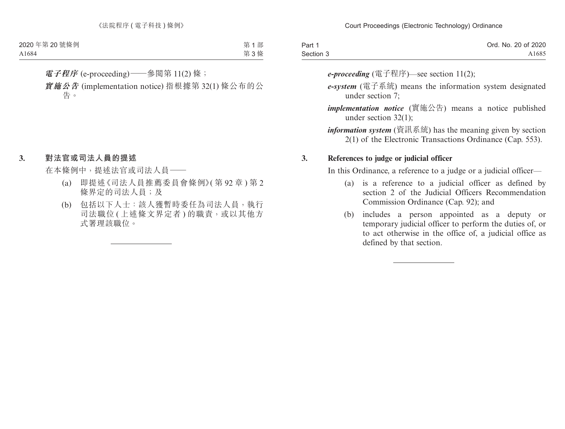| Part 1    | Ord. No. 20 of 2020 |
|-----------|---------------------|
| Section 3 | A <sub>1685</sub>   |

*e-proceeding* (電子程序)—see section 11(2);

- *e-system* (電子系統) means the information system designated under section 7;
- *implementation notice* (實施公告) means a notice published under section 32(1);
- *information system* (資訊系統) has the meaning given by section 2(1) of the Electronic Transactions Ordinance (Cap. 553).

### **3. References to judge or judicial officer**

In this Ordinance, a reference to a judge or a judicial officer—

- (a) is a reference to a judicial officer as defined by section 2 of the Judicial Officers Recommendation Commission Ordinance (Cap. 92); and
- (b) includes a person appointed as a deputy or temporary judicial officer to perform the duties of, or to act otherwise in the office of, a judicial office as defined by that section.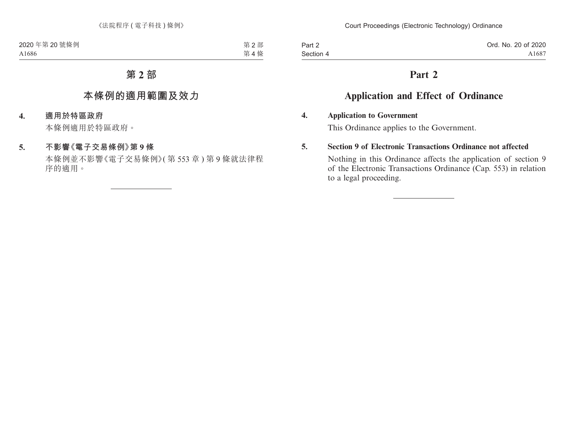Part 2 Section 4

# **Part 2**

# **Application and Effect of Ordinance**

### **4. Application to Government**

This Ordinance applies to the Government.

### **5. Section 9 of Electronic Transactions Ordinance not affected**

Nothing in this Ordinance affects the application of section 9 of the Electronic Transactions Ordinance (Cap. 553) in relation to a legal proceeding.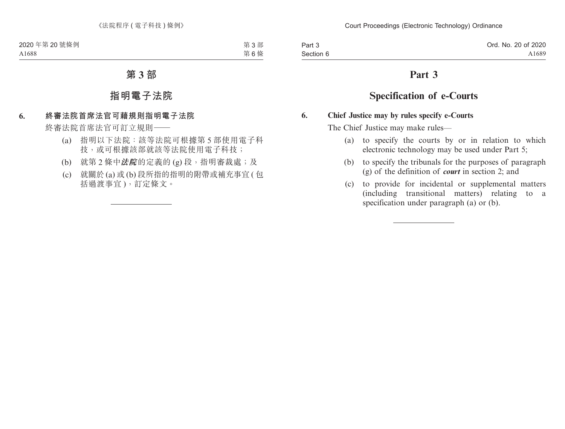Part 3 Section 6

# **Part 3**

# **Specification of e-Courts**

### **6. Chief Justice may by rules specify e-Courts**

The Chief Justice may make rules—

- (a) to specify the courts by or in relation to which electronic technology may be used under Part 5;
- (b) to specify the tribunals for the purposes of paragraph (g) of the definition of *court* in section 2; and
- (c) to provide for incidental or supplemental matters (including transitional matters) relating to a specification under paragraph (a) or (b).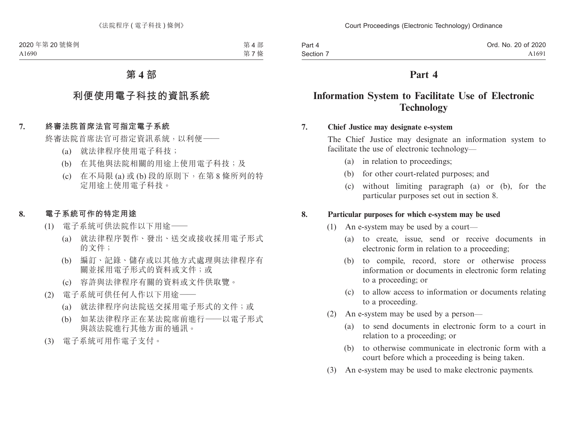Part 4 Section 7 Ord. No. 20 of 2020 A1691

# **Part 4**

# **Information System to Facilitate Use of Electronic Technology**

### **7. Chief Justice may designate e-system**

The Chief Justice may designate an information system to facilitate the use of electronic technology—

- (a) in relation to proceedings;
- (b) for other court-related purposes; and
- (c) without limiting paragraph (a) or (b), for the particular purposes set out in section 8.

### **8. Particular purposes for which e-system may be used**

- (1) An e-system may be used by a court—
	- (a) to create, issue, send or receive documents in electronic form in relation to a proceeding;
	- (b) to compile, record, store or otherwise process information or documents in electronic form relating to a proceeding; or
	- (c) to allow access to information or documents relating to a proceeding.
- (2) An e-system may be used by a person—
	- (a) to send documents in electronic form to a court in relation to a proceeding; or
	- (b) to otherwise communicate in electronic form with a court before which a proceeding is being taken.
- (3) An e-system may be used to make electronic payments.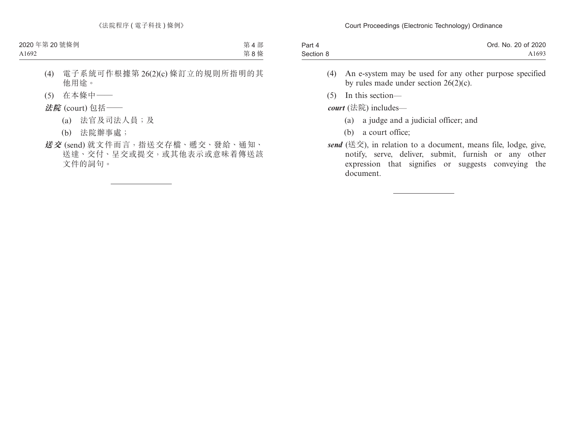| Part 4    | Ord. No. 20 of 2020 |
|-----------|---------------------|
| Section 8 | A <sub>1693</sub>   |

- (4) An e-system may be used for any other purpose specified by rules made under section 26(2)(c).
- (5) In this section—

*court* (法院) includes—

- (a) a judge and a judicial officer; and
- (b) a court office;
- *send* (送交), in relation to a document, means file, lodge, give, notify, serve, deliver, submit, furnish or any other expression that signifies or suggests conveying the document.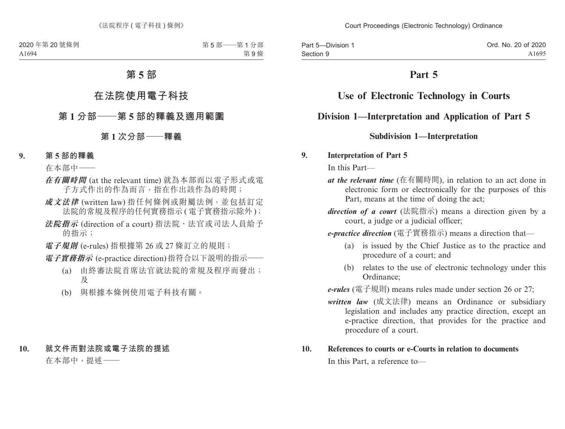Part 5—Division 1 Section 9

# **Part 5**

# **Use of Electronic Technology in Courts**

### **Division 1—Interpretation and Application of Part 5**

### **Subdivision 1—Interpretation**

#### **9. Interpretation of Part 5**

In this Part—

- *at the relevant time* (在有關時間), in relation to an act done in electronic form or electronically for the purposes of this Part, means at the time of doing the act;
- *direction of a court* (法院指示) means a direction given by a court, a judge or a judicial officer;

*e-practice direction* (電子實務指示) means a direction that—

- (a) is issued by the Chief Justice as to the practice and procedure of a court; and
- (b) relates to the use of electronic technology under this Ordinance;

*e-rules* (電子規則) means rules made under section 26 or 27;

*written law* (成文法律) means an Ordinance or subsidiary legislation and includes any practice direction, except an e-practice direction, that provides for the practice and procedure of a court.

#### **10. References to courts or e-Courts in relation to documents**

In this Part, a reference to—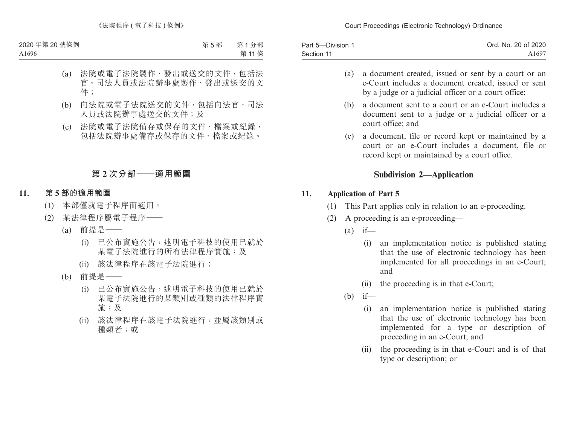| Part 5-Division 1 | Ord. No. 20 of 2020 |
|-------------------|---------------------|
| Section 11        | A1697               |

- (a) a document created, issued or sent by a court or an e-Court includes a document created, issued or sent by a judge or a judicial officer or a court office;
- (b) a document sent to a court or an e-Court includes a document sent to a judge or a judicial officer or a court office; and
- (c) a document, file or record kept or maintained by a court or an e-Court includes a document, file or record kept or maintained by a court office.

## **Subdivision 2—Application**

### **11. Application of Part 5**

- (1) This Part applies only in relation to an e-proceeding.
- (2) A proceeding is an e-proceeding—
	- $(a)$  if—
		- (i) an implementation notice is published stating that the use of electronic technology has been implemented for all proceedings in an e-Court; and
		- (ii) the proceeding is in that e-Court;
	- $(b)$  if—
		- (i) an implementation notice is published stating that the use of electronic technology has been implemented for a type or description of proceeding in an e-Court; and
		- (ii) the proceeding is in that e-Court and is of that type or description; or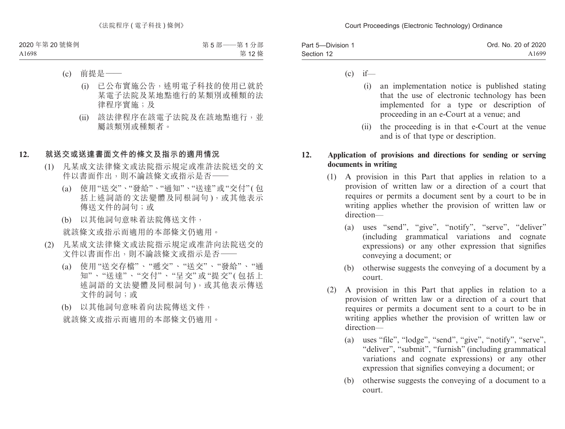| Part 5-Division 1 | Ord. No. 20 of 2020 |
|-------------------|---------------------|
| Section 12        | A1699               |

- $(c)$  if—
	- (i) an implementation notice is published stating that the use of electronic technology has been implemented for a type or description of proceeding in an e-Court at a venue; and
	- (ii) the proceeding is in that e-Court at the venue and is of that type or description.

### **12. Application of provisions and directions for sending or serving documents in writing**

- (1) A provision in this Part that applies in relation to a provision of written law or a direction of a court that requires or permits a document sent by a court to be in writing applies whether the provision of written law or direction—
	- (a) uses "send", "give", "notify", "serve", "deliver" (including grammatical variations and cognate expressions) or any other expression that signifies conveying a document; or
	- (b) otherwise suggests the conveying of a document by a court.
- (2) A provision in this Part that applies in relation to a provision of written law or a direction of a court that requires or permits a document sent to a court to be in writing applies whether the provision of written law or direction—
	- (a) uses "file", "lodge", "send", "give", "notify", "serve", "deliver", "submit", "furnish" (including grammatical variations and cognate expressions) or any other expression that signifies conveying a document; or
	- (b) otherwise suggests the conveying of a document to a court.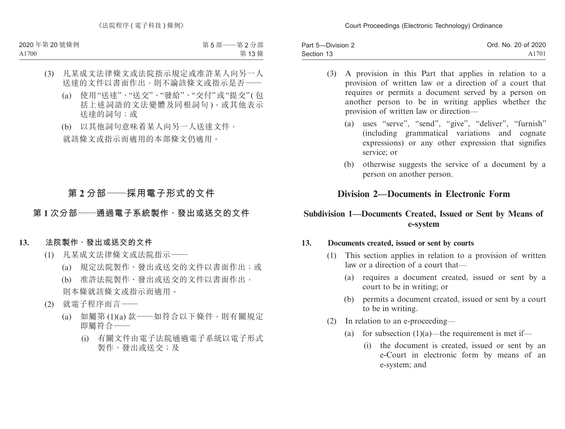| Part 5-Division 2 | Ord. No. 20 of 2020 |
|-------------------|---------------------|
| Section 13        | A1701               |

- (3) A provision in this Part that applies in relation to a provision of written law or a direction of a court that requires or permits a document served by a person on another person to be in writing applies whether the provision of written law or direction—
	- (a) uses "serve", "send", "give", "deliver", "furnish" (including grammatical variations and cognate expressions) or any other expression that signifies service; or
	- (b) otherwise suggests the service of a document by a person on another person.

## **Division 2—Documents in Electronic Form**

### **Subdivision 1—Documents Created, Issued or Sent by Means of e-system**

### **13. Documents created, issued or sent by courts**

- (1) This section applies in relation to a provision of written law or a direction of a court that—
	- (a) requires a document created, issued or sent by a court to be in writing; or
	- (b) permits a document created, issued or sent by a court to be in writing.
- (2) In relation to an e-proceeding—
	- (a) for subsection  $(1)(a)$ —the requirement is met if—
		- (i) the document is created, issued or sent by an e-Court in electronic form by means of an e-system; and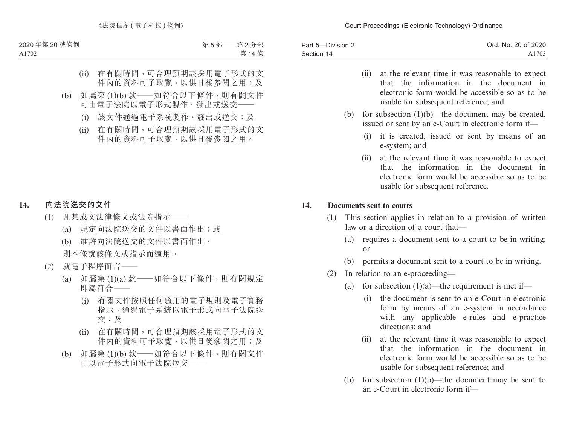| Part 5-Division 2 | Ord. No. 20 of 2020 |
|-------------------|---------------------|
| Section 14        | A1703               |

- (ii) at the relevant time it was reasonable to expect that the information in the document in electronic form would be accessible so as to be usable for subsequent reference; and
- (b) for subsection (1)(b)—the document may be created, issued or sent by an e-Court in electronic form if—
	- (i) it is created, issued or sent by means of an e-system; and
	- (ii) at the relevant time it was reasonable to expect that the information in the document in electronic form would be accessible so as to be usable for subsequent reference.

#### **14. Documents sent to courts**

- (1) This section applies in relation to a provision of written law or a direction of a court that—
	- (a) requires a document sent to a court to be in writing; or
	- (b) permits a document sent to a court to be in writing.
- (2) In relation to an e-proceeding—
	- (a) for subsection  $(1)(a)$ —the requirement is met if—
		- (i) the document is sent to an e-Court in electronic form by means of an e-system in accordance with any applicable e-rules and e-practice directions; and
		- (ii) at the relevant time it was reasonable to expect that the information in the document in electronic form would be accessible so as to be usable for subsequent reference; and
	- (b) for subsection (1)(b)—the document may be sent to an e-Court in electronic form if—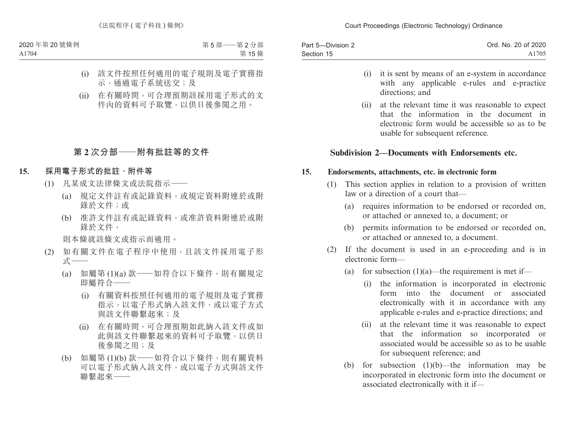| Part 5-Division 2 | Ord. No. 20 of 2020 |
|-------------------|---------------------|
| Section 15        | A1705               |

- (i) it is sent by means of an e-system in accordance with any applicable e-rules and e-practice directions; and
- (ii) at the relevant time it was reasonable to expect that the information in the document in electronic form would be accessible so as to be usable for subsequent reference.

### **Subdivision 2—Documents with Endorsements etc.**

#### **15. Endorsements, attachments, etc. in electronic form**

- (1) This section applies in relation to a provision of written law or a direction of a court that—
	- (a) requires information to be endorsed or recorded on, or attached or annexed to, a document; or
	- (b) permits information to be endorsed or recorded on, or attached or annexed to, a document.
- (2) If the document is used in an e-proceeding and is in electronic form—
	- (a) for subsection  $(1)(a)$ —the requirement is met if—
		- (i) the information is incorporated in electronic form into the document or associated electronically with it in accordance with any applicable e-rules and e-practice directions; and
		- (ii) at the relevant time it was reasonable to expect that the information so incorporated or associated would be accessible so as to be usable for subsequent reference; and
	- (b) for subsection (1)(b)—the information may be incorporated in electronic form into the document or associated electronically with it if—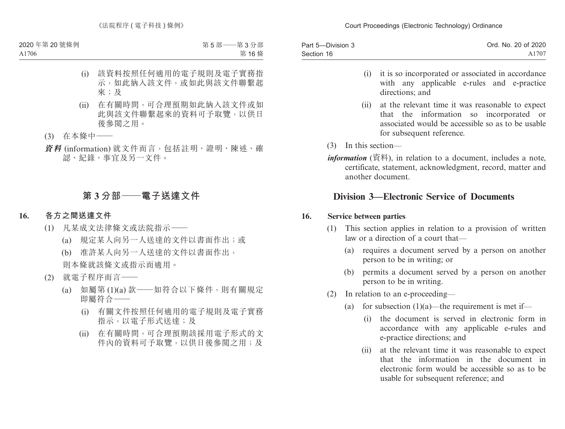| Part 5-Division 3 | Ord. No. 20 of 2020 |
|-------------------|---------------------|
| Section 16        | A1707               |

- (i) it is so incorporated or associated in accordance with any applicable e-rules and e-practice directions; and
- (ii) at the relevant time it was reasonable to expect that the information so incorporated or associated would be accessible so as to be usable for subsequent reference.
- (3) In this section—
- *information* (資料), in relation to a document, includes a note, certificate, statement, acknowledgment, record, matter and another document.

## **Division 3—Electronic Service of Documents**

### **16. Service between parties**

- (1) This section applies in relation to a provision of written law or a direction of a court that—
	- (a) requires a document served by a person on another person to be in writing; or
	- (b) permits a document served by a person on another person to be in writing.
- (2) In relation to an e-proceeding—
	- (a) for subsection  $(1)(a)$ —the requirement is met if—
		- (i) the document is served in electronic form in accordance with any applicable e-rules and e-practice directions; and
		- (ii) at the relevant time it was reasonable to expect that the information in the document in electronic form would be accessible so as to be usable for subsequent reference; and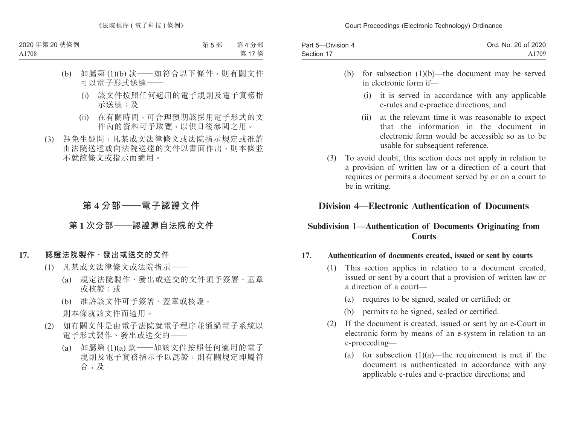| Part 5-Division 4 | Ord. No. 20 of 2020 |
|-------------------|---------------------|
| Section 17        | A1709               |

- (b) for subsection (1)(b)—the document may be served in electronic form if—
	- (i) it is served in accordance with any applicable e-rules and e-practice directions; and
	- (ii) at the relevant time it was reasonable to expect that the information in the document in electronic form would be accessible so as to be usable for subsequent reference.
- (3) To avoid doubt, this section does not apply in relation to a provision of written law or a direction of a court that requires or permits a document served by or on a court to be in writing.

### **Division 4—Electronic Authentication of Documents**

### **Subdivision 1—Authentication of Documents Originating from Courts**

### **17. Authentication of documents created, issued or sent by courts**

- (1) This section applies in relation to a document created, issued or sent by a court that a provision of written law or a direction of a court—
	- (a) requires to be signed, sealed or certified; or
	- (b) permits to be signed, sealed or certified.
- (2) If the document is created, issued or sent by an e-Court in electronic form by means of an e-system in relation to an e-proceeding—
	- (a) for subsection  $(1)(a)$ —the requirement is met if the document is authenticated in accordance with any applicable e-rules and e-practice directions; and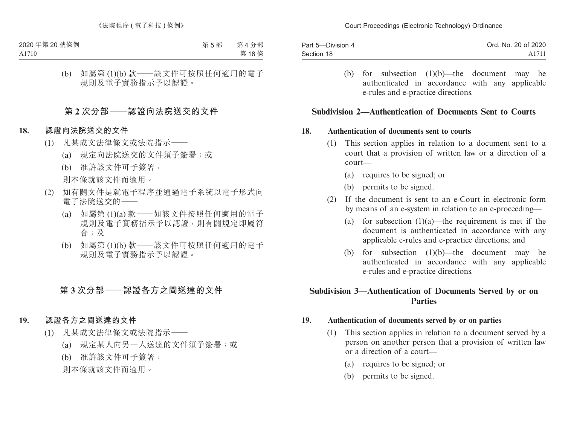| Part 5-Division 4 | Ord. No. 20 of 2020 |
|-------------------|---------------------|
| Section 18        | A1711               |

(b) for subsection  $(1)(b)$ —the document may be authenticated in accordance with any applicable e-rules and e-practice directions.

### **Subdivision 2—Authentication of Documents Sent to Courts**

### **18. Authentication of documents sent to courts**

- (1) This section applies in relation to a document sent to a court that a provision of written law or a direction of a court—
	- (a) requires to be signed; or
	- (b) permits to be signed.
- (2) If the document is sent to an e-Court in electronic form by means of an e-system in relation to an e-proceeding—
	- (a) for subsection  $(1)(a)$ —the requirement is met if the document is authenticated in accordance with any applicable e-rules and e-practice directions; and
	- (b) for subsection  $(1)(b)$ —the document may be authenticated in accordance with any applicable e-rules and e-practice directions.

### **Subdivision 3—Authentication of Documents Served by or on Parties**

#### **19. Authentication of documents served by or on parties**

- (1) This section applies in relation to a document served by a person on another person that a provision of written law or a direction of a court—
	- (a) requires to be signed; or
	- (b) permits to be signed.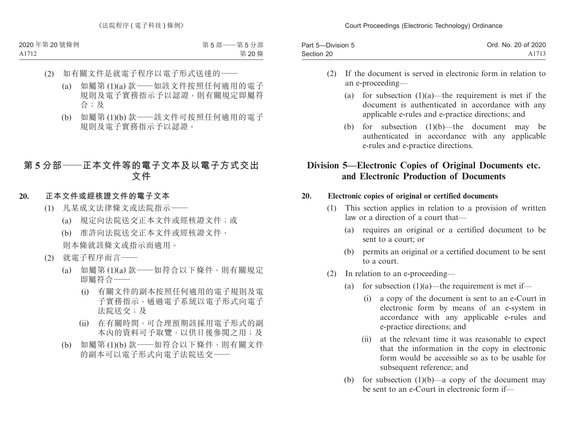| Part 5-Division 5 | Ord. No. 20 of 2020 |
|-------------------|---------------------|
| Section 20        | A <sub>1713</sub>   |

- (2) If the document is served in electronic form in relation to an e-proceeding—
	- (a) for subsection  $(1)(a)$ —the requirement is met if the document is authenticated in accordance with any applicable e-rules and e-practice directions; and
	- (b) for subsection (1)(b)—the document may be authenticated in accordance with any applicable e-rules and e-practice directions.

## **Division 5—Electronic Copies of Original Documents etc. and Electronic Production of Documents**

### **20. Electronic copies of original or certified documents**

- (1) This section applies in relation to a provision of written law or a direction of a court that—
	- (a) requires an original or a certified document to be sent to a court; or
	- (b) permits an original or a certified document to be sent to a court.
- (2) In relation to an e-proceeding—
	- (a) for subsection  $(1)(a)$ —the requirement is met if—
		- (i) a copy of the document is sent to an e-Court in electronic form by means of an e-system in accordance with any applicable e-rules and e-practice directions; and
		- (ii) at the relevant time it was reasonable to expect that the information in the copy in electronic form would be accessible so as to be usable for subsequent reference; and
	- (b) for subsection  $(1)(b)$ —a copy of the document may be sent to an e-Court in electronic form if—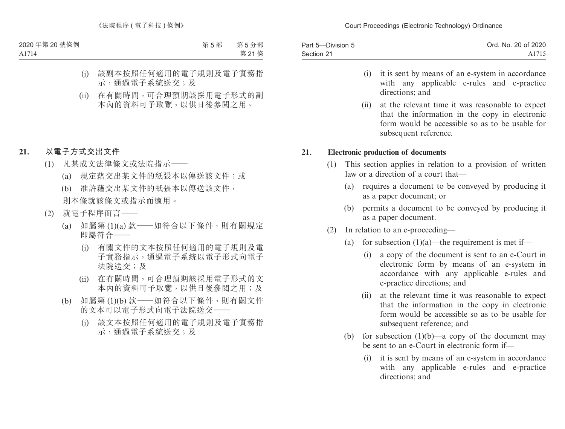| Part 5-Division 5 | Ord. No. 20 of 2020 |
|-------------------|---------------------|
| Section 21        | A1715               |

- (i) it is sent by means of an e-system in accordance with any applicable e-rules and e-practice directions; and
- (ii) at the relevant time it was reasonable to expect that the information in the copy in electronic form would be accessible so as to be usable for subsequent reference.

### **21. Electronic production of documents**

- (1) This section applies in relation to a provision of written law or a direction of a court that—
	- (a) requires a document to be conveyed by producing it as a paper document; or
	- (b) permits a document to be conveyed by producing it as a paper document.
- (2) In relation to an e-proceeding—
	- (a) for subsection  $(1)(a)$ —the requirement is met if—
		- (i) a copy of the document is sent to an e-Court in electronic form by means of an e-system in accordance with any applicable e-rules and e-practice directions; and
		- (ii) at the relevant time it was reasonable to expect that the information in the copy in electronic form would be accessible so as to be usable for subsequent reference; and
	- (b) for subsection  $(1)(b)$ —a copy of the document may be sent to an e-Court in electronic form if—
		- (i) it is sent by means of an e-system in accordance with any applicable e-rules and e-practice directions; and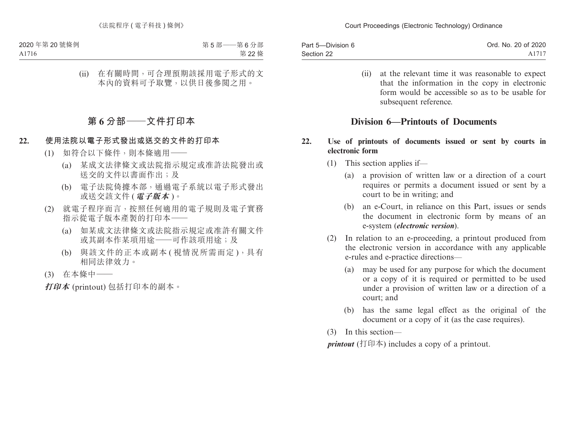| Part 5-Division 6 | Ord. No. 20 of 2020 |
|-------------------|---------------------|
| Section 22        | A1717               |

(ii) at the relevant time it was reasonable to expect that the information in the copy in electronic form would be accessible so as to be usable for subsequent reference.

### **Division 6—Printouts of Documents**

#### **22. Use of printouts of documents issued or sent by courts in electronic form**

- (1) This section applies if—
	- (a) a provision of written law or a direction of a court requires or permits a document issued or sent by a court to be in writing; and
	- (b) an e-Court, in reliance on this Part, issues or sends the document in electronic form by means of an e-system (*electronic version*).
- (2) In relation to an e-proceeding, a printout produced from the electronic version in accordance with any applicable e-rules and e-practice directions—
	- (a) may be used for any purpose for which the document or a copy of it is required or permitted to be used under a provision of written law or a direction of a court; and
	- (b) has the same legal effect as the original of the document or a copy of it (as the case requires).
- (3) In this section—

*printout* (打印本) includes a copy of a printout.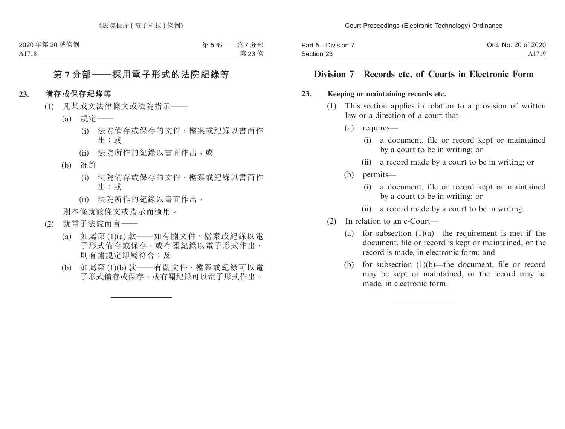| Part 5-Division 7 | Ord. No. 20 of 2020 |
|-------------------|---------------------|
| Section 23        | A1719               |

### **Division 7—Records etc. of Courts in Electronic Form**

#### **23. Keeping or maintaining records etc.**

- (1) This section applies in relation to a provision of written law or a direction of a court that—
	- (a) requires—
		- (i) a document, file or record kept or maintained by a court to be in writing; or
		- (ii) a record made by a court to be in writing; or
	- (b) permits—
		- (i) a document, file or record kept or maintained by a court to be in writing; or
		- (ii) a record made by a court to be in writing.
- (2) In relation to an e-Court—
	- (a) for subsection  $(1)(a)$ —the requirement is met if the document, file or record is kept or maintained, or the record is made, in electronic form; and
	- (b) for subsection (1)(b)—the document, file or record may be kept or maintained, or the record may be made, in electronic form.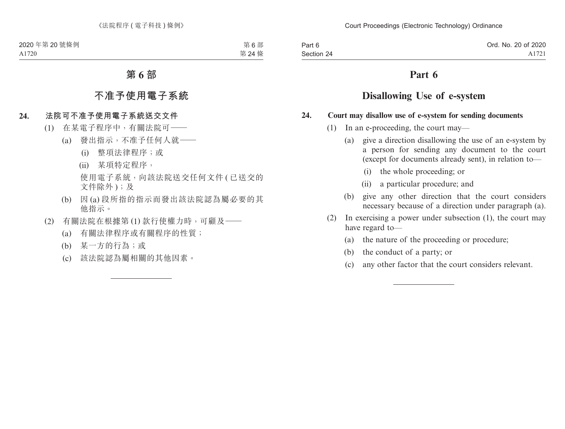# **Part 6**

# **Disallowing Use of e-system**

### **24. Court may disallow use of e-system for sending documents**

- (1) In an e-proceeding, the court may—
	- (a) give a direction disallowing the use of an e-system by a person for sending any document to the court (except for documents already sent), in relation to—
		- (i) the whole proceeding; or
		- (ii) a particular procedure; and
	- (b) give any other direction that the court considers necessary because of a direction under paragraph (a).
- (2) In exercising a power under subsection (1), the court may have regard to—
	- (a) the nature of the proceeding or procedure;
	- (b) the conduct of a party; or
	- (c) any other factor that the court considers relevant.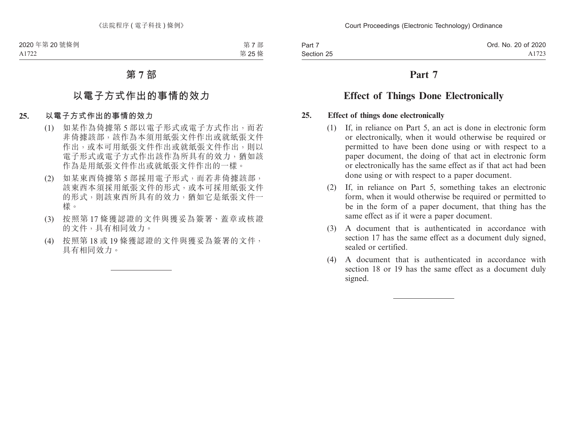# **Part 7**

# **Effect of Things Done Electronically**

### **25. Effect of things done electronically**

- (1) If, in reliance on Part 5, an act is done in electronic form or electronically, when it would otherwise be required or permitted to have been done using or with respect to a paper document, the doing of that act in electronic form or electronically has the same effect as if that act had been done using or with respect to a paper document.
- (2) If, in reliance on Part 5, something takes an electronic form, when it would otherwise be required or permitted to be in the form of a paper document, that thing has the same effect as if it were a paper document.
- (3) A document that is authenticated in accordance with section 17 has the same effect as a document duly signed, sealed or certified.
- (4) A document that is authenticated in accordance with section 18 or 19 has the same effect as a document duly signed.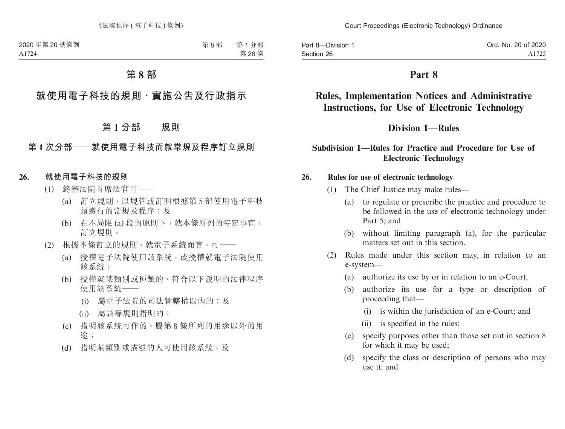Part 8—Division 1 Section 26

### **Part 8**

# **Rules, Implementation Notices and Administrative Instructions, for Use of Electronic Technology**

### **Division 1—Rules**

### **Subdivision 1—Rules for Practice and Procedure for Use of Electronic Technology**

### **26. Rules for use of electronic technology**

- (1) The Chief Justice may make rules—
	- (a) to regulate or prescribe the practice and procedure to be followed in the use of electronic technology under Part 5; and
	- (b) without limiting paragraph (a), for the particular matters set out in this section.
- (2) Rules made under this section may, in relation to an e-system—
	- (a) authorize its use by or in relation to an e-Court;
	- (b) authorize its use for a type or description of proceeding that—
		- (i) is within the jurisdiction of an e-Court; and
		- (ii) is specified in the rules;
	- (c) specify purposes other than those set out in section 8 for which it may be used;
	- (d) specify the class or description of persons who may use it; and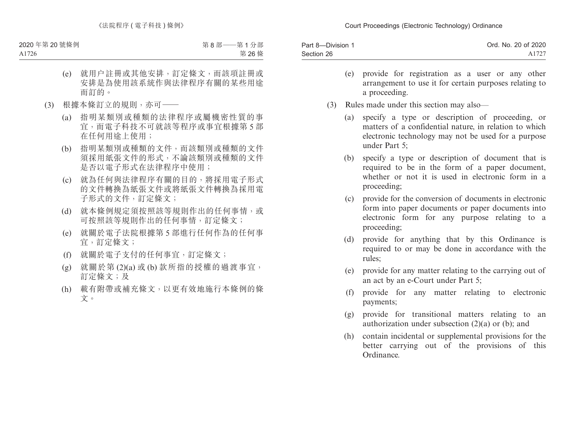| Part 8-Division 1 | Ord. No. 20 of 2020 |
|-------------------|---------------------|
| Section 26        | A1727               |

- (e) provide for registration as a user or any other arrangement to use it for certain purposes relating to a proceeding.
- (3) Rules made under this section may also—
	- (a) specify a type or description of proceeding, or matters of a confidential nature, in relation to which electronic technology may not be used for a purpose under Part 5;
	- (b) specify a type or description of document that is required to be in the form of a paper document, whether or not it is used in electronic form in a proceeding;
	- (c) provide for the conversion of documents in electronic form into paper documents or paper documents into electronic form for any purpose relating to a proceeding;
	- (d) provide for anything that by this Ordinance is required to or may be done in accordance with the rules;
	- (e) provide for any matter relating to the carrying out of an act by an e-Court under Part 5;
	- (f) provide for any matter relating to electronic payments;
	- (g) provide for transitional matters relating to an authorization under subsection (2)(a) or (b); and
	- (h) contain incidental or supplemental provisions for the better carrying out of the provisions of this Ordinance.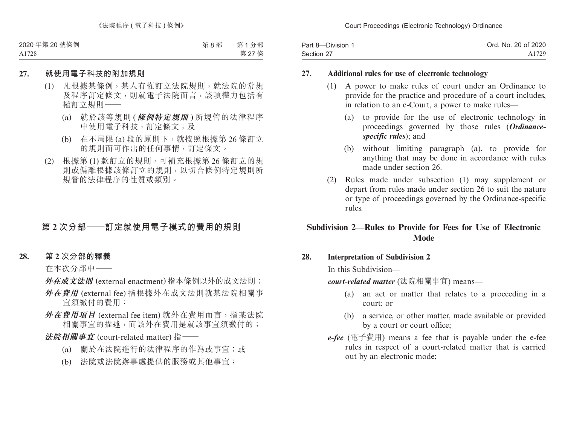| Part 8-Division 1 | Ord. No. 20 of 2020 |
|-------------------|---------------------|
| Section 27        | A1729               |

### **27. Additional rules for use of electronic technology**

- (1) A power to make rules of court under an Ordinance to provide for the practice and procedure of a court includes, in relation to an e-Court, a power to make rules—
	- (a) to provide for the use of electronic technology in proceedings governed by those rules (*Ordinancespecific rules*); and
	- (b) without limiting paragraph (a), to provide for anything that may be done in accordance with rules made under section 26.
- (2) Rules made under subsection (1) may supplement or depart from rules made under section 26 to suit the nature or type of proceedings governed by the Ordinance-specific rules.

### **Subdivision 2—Rules to Provide for Fees for Use of Electronic Mode**

### **28. Interpretation of Subdivision 2**

In this Subdivision—

*court-related matter* (法院相關事宜) means—

- (a) an act or matter that relates to a proceeding in a court; or
- (b) a service, or other matter, made available or provided by a court or court office;
- *e-fee* (電子費用) means a fee that is payable under the e-fee rules in respect of a court-related matter that is carried out by an electronic mode;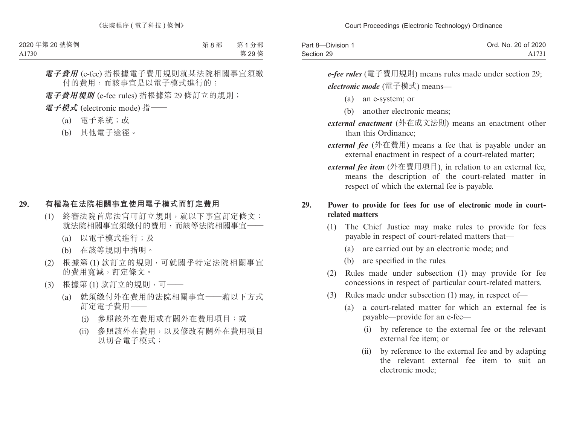| Part 8-Division 1 | Ord. No. 20 of 2020 |
|-------------------|---------------------|
| Section 29        | A1731               |

*e-fee rules* (電子費用規則) means rules made under section 29; *electronic mode* (電子模式) means—

- (a) an e-system; or
- (b) another electronic means;
- *external enactment* (外在成文法則) means an enactment other than this Ordinance;
- *external fee* (外在費用) means a fee that is payable under an external enactment in respect of a court-related matter;
- *external fee item* (外在費用項目), in relation to an external fee, means the description of the court-related matter in respect of which the external fee is payable.

### **29. Power to provide for fees for use of electronic mode in courtrelated matters**

- (1) The Chief Justice may make rules to provide for fees payable in respect of court-related matters that—
	- (a) are carried out by an electronic mode; and
	- (b) are specified in the rules.
- (2) Rules made under subsection (1) may provide for fee concessions in respect of particular court-related matters.
- (3) Rules made under subsection (1) may, in respect of—
	- (a) a court-related matter for which an external fee is payable—provide for an e-fee—
		- (i) by reference to the external fee or the relevant external fee item; or
		- (ii) by reference to the external fee and by adapting the relevant external fee item to suit an electronic mode;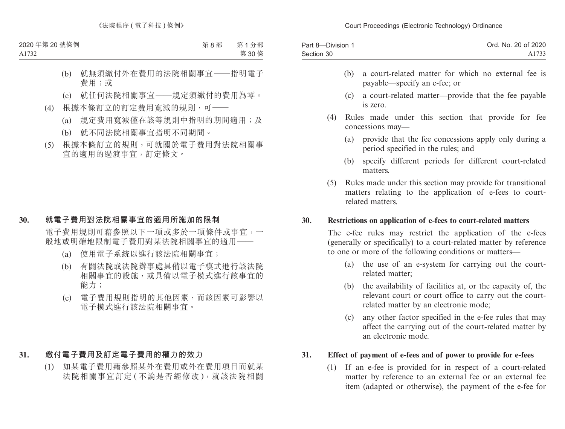| Part 8-Division 1 | Ord. No. 20 of 2020 |
|-------------------|---------------------|
| Section 30        | A1733               |

- (b) a court-related matter for which no external fee is payable—specify an e-fee; or
- (c) a court-related matter—provide that the fee payable is zero.
- (4) Rules made under this section that provide for fee concessions may—
	- (a) provide that the fee concessions apply only during a period specified in the rules; and
	- (b) specify different periods for different court-related matters.
- (5) Rules made under this section may provide for transitional matters relating to the application of e-fees to courtrelated matters.

### **30. Restrictions on application of e-fees to court-related matters**

The e-fee rules may restrict the application of the e-fees (generally or specifically) to a court-related matter by reference to one or more of the following conditions or matters—

- (a) the use of an e-system for carrying out the courtrelated matter;
- (b) the availability of facilities at, or the capacity of, the relevant court or court office to carry out the courtrelated matter by an electronic mode;
- (c) any other factor specified in the e-fee rules that may affect the carrying out of the court-related matter by an electronic mode.

### **31. Effect of payment of e-fees and of power to provide for e-fees**

(1) If an e-fee is provided for in respect of a court-related matter by reference to an external fee or an external fee item (adapted or otherwise), the payment of the e-fee for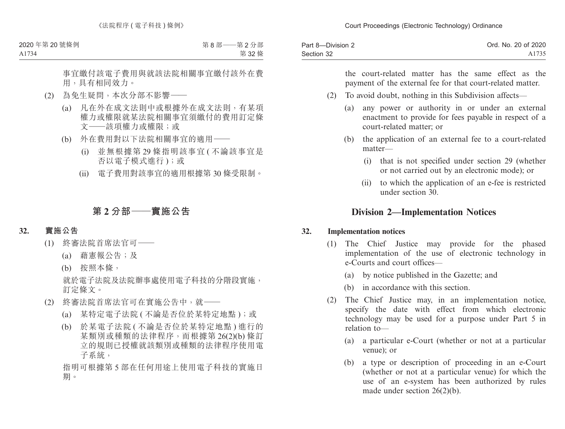| Part 8-Division 2 | Ord. No. 20 of 2020 |
|-------------------|---------------------|
| Section 32        | A1735               |

the court-related matter has the same effect as the payment of the external fee for that court-related matter.

- (2) To avoid doubt, nothing in this Subdivision affects—
	- (a) any power or authority in or under an external enactment to provide for fees payable in respect of a court-related matter; or
	- (b) the application of an external fee to a court-related matter—
		- (i) that is not specified under section 29 (whether or not carried out by an electronic mode); or
		- (ii) to which the application of an e-fee is restricted under section 30.

### **Division 2—Implementation Notices**

### **32. Implementation notices**

- (1) The Chief Justice may provide for the phased implementation of the use of electronic technology in e-Courts and court offices—
	- (a) by notice published in the Gazette; and
	- (b) in accordance with this section.
- (2) The Chief Justice may, in an implementation notice, specify the date with effect from which electronic technology may be used for a purpose under Part 5 in relation to—
	- (a) a particular e-Court (whether or not at a particular venue); or
	- (b) a type or description of proceeding in an e-Court (whether or not at a particular venue) for which the use of an e-system has been authorized by rules made under section 26(2)(b).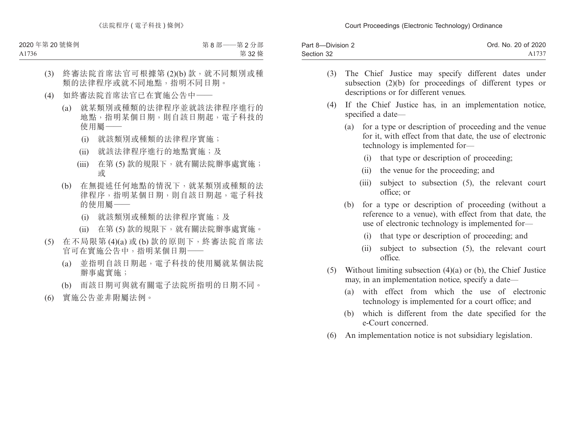| Part 8-Division 2 | Ord. No. 20 of 2020 |
|-------------------|---------------------|
| Section 32        | A1737               |

- (3) The Chief Justice may specify different dates under subsection (2)(b) for proceedings of different types or descriptions or for different venues.
- (4) If the Chief Justice has, in an implementation notice, specified a date—
	- (a) for a type or description of proceeding and the venue for it, with effect from that date, the use of electronic technology is implemented for—
		- (i) that type or description of proceeding;
		- (ii) the venue for the proceeding; and
		- (iii) subject to subsection (5), the relevant court office; or
	- (b) for a type or description of proceeding (without a reference to a venue), with effect from that date, the use of electronic technology is implemented for—
		- (i) that type or description of proceeding; and
		- (ii) subject to subsection (5), the relevant court office.
- (5) Without limiting subsection (4)(a) or (b), the Chief Justice may, in an implementation notice, specify a date—
	- (a) with effect from which the use of electronic technology is implemented for a court office; and
	- (b) which is different from the date specified for the e-Court concerned.
- (6) An implementation notice is not subsidiary legislation.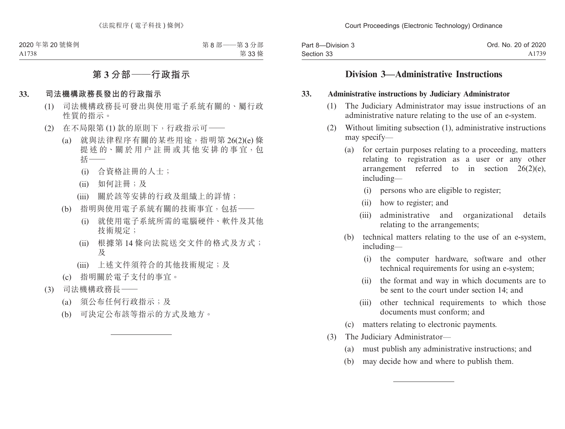| Part 8-Division 3 | Ord. No. 20 of 2020 |
|-------------------|---------------------|
| Section 33        | A1739               |

### **Division 3—Administrative Instructions**

#### **33. Administrative instructions by Judiciary Administrator**

- (1) The Judiciary Administrator may issue instructions of an administrative nature relating to the use of an e-system.
- (2) Without limiting subsection (1), administrative instructions may specify—
	- (a) for certain purposes relating to a proceeding, matters relating to registration as a user or any other arrangement referred to in section 26(2)(e), including—
		- (i) persons who are eligible to register;
		- (ii) how to register; and
		- (iii) administrative and organizational details relating to the arrangements;
	- (b) technical matters relating to the use of an e-system, including—
		- (i) the computer hardware, software and other technical requirements for using an e-system;
		- (ii) the format and way in which documents are to be sent to the court under section 14; and
		- (iii) other technical requirements to which those documents must conform; and
	- (c) matters relating to electronic payments.
- (3) The Judiciary Administrator—
	- (a) must publish any administrative instructions; and
	- (b) may decide how and where to publish them.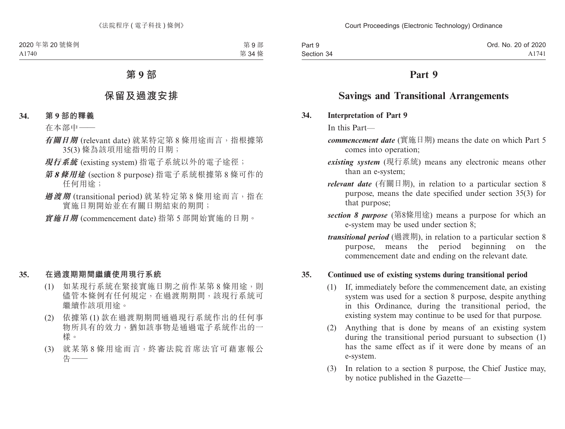# **Part 9**

# **Savings and Transitional Arrangements**

### **34. Interpretation of Part 9**

In this Part—

- *commencement date* (實施日期) means the date on which Part 5 comes into operation;
- *existing system* (現行系統) means any electronic means other than an e-system;
- *relevant date* (有關日期), in relation to a particular section 8 purpose, means the date specified under section 35(3) for that purpose;
- *section 8 purpose* (第8條用途) means a purpose for which an e-system may be used under section 8;
- *transitional period* (過渡期), in relation to a particular section 8 purpose, means the period beginning on the commencement date and ending on the relevant date.

### **35. Continued use of existing systems during transitional period**

- (1) If, immediately before the commencement date, an existing system was used for a section 8 purpose, despite anything in this Ordinance, during the transitional period, the existing system may continue to be used for that purpose.
- (2) Anything that is done by means of an existing system during the transitional period pursuant to subsection (1) has the same effect as if it were done by means of an e-system.
- (3) In relation to a section 8 purpose, the Chief Justice may, by notice published in the Gazette—